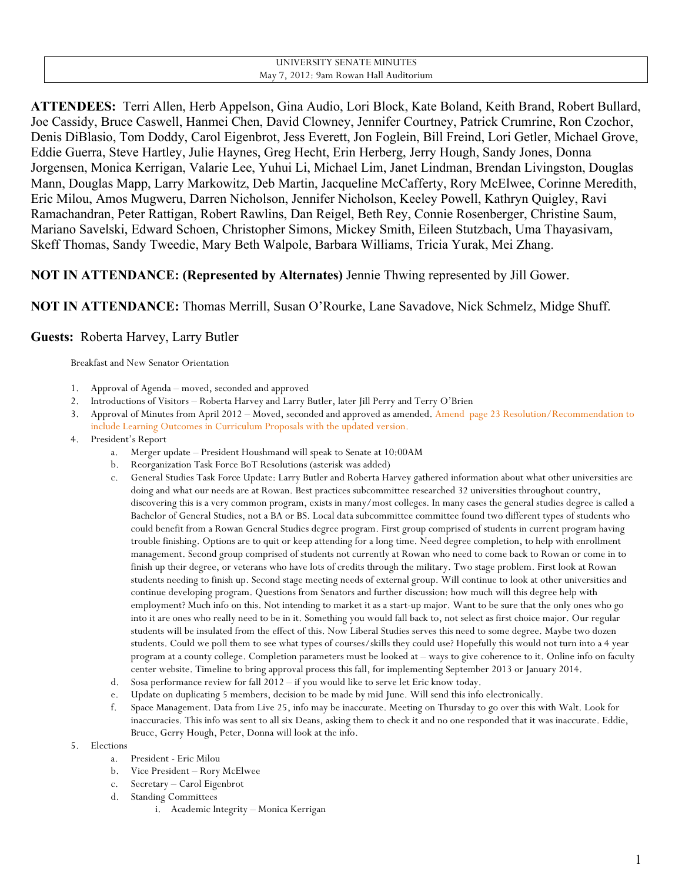#### UNIVERSITY SENATE MINUTES May 7, 2012: 9am Rowan Hall Auditorium

**ATTENDEES:** Terri Allen, Herb Appelson, Gina Audio, Lori Block, Kate Boland, Keith Brand, Robert Bullard, Joe Cassidy, Bruce Caswell, Hanmei Chen, David Clowney, Jennifer Courtney, Patrick Crumrine, Ron Czochor, Denis DiBlasio, Tom Doddy, Carol Eigenbrot, Jess Everett, Jon Foglein, Bill Freind, Lori Getler, Michael Grove, Eddie Guerra, Steve Hartley, Julie Haynes, Greg Hecht, Erin Herberg, Jerry Hough, Sandy Jones, Donna Jorgensen, Monica Kerrigan, Valarie Lee, Yuhui Li, Michael Lim, Janet Lindman, Brendan Livingston, Douglas Mann, Douglas Mapp, Larry Markowitz, Deb Martin, Jacqueline McCafferty, Rory McElwee, Corinne Meredith, Eric Milou, Amos Mugweru, Darren Nicholson, Jennifer Nicholson, Keeley Powell, Kathryn Quigley, Ravi Ramachandran, Peter Rattigan, Robert Rawlins, Dan Reigel, Beth Rey, Connie Rosenberger, Christine Saum, Mariano Savelski, Edward Schoen, Christopher Simons, Mickey Smith, Eileen Stutzbach, Uma Thayasivam, Skeff Thomas, Sandy Tweedie, Mary Beth Walpole, Barbara Williams, Tricia Yurak, Mei Zhang.

# **NOT IN ATTENDANCE: (Represented by Alternates)** Jennie Thwing represented by Jill Gower.

**NOT IN ATTENDANCE:** Thomas Merrill, Susan O'Rourke, Lane Savadove, Nick Schmelz, Midge Shuff.

## **Guests:** Roberta Harvey, Larry Butler

Breakfast and New Senator Orientation

- 1. Approval of Agenda moved, seconded and approved
- 2. Introductions of Visitors Roberta Harvey and Larry Butler, later Jill Perry and Terry O'Brien
- 3. Approval of Minutes from April 2012 Moved, seconded and approved as amended. Amend page 23 Resolution/Recommendation to include Learning Outcomes in Curriculum Proposals with the updated version.
- 4. President's Report
	- a. Merger update President Houshmand will speak to Senate at 10:00AM
	- b. Reorganization Task Force BoT Resolutions (asterisk was added)
	- c. General Studies Task Force Update: Larry Butler and Roberta Harvey gathered information about what other universities are doing and what our needs are at Rowan. Best practices subcommittee researched 32 universities throughout country, discovering this is a very common program, exists in many/most colleges. In many cases the general studies degree is called a Bachelor of General Studies, not a BA or BS. Local data subcommittee committee found two different types of students who could benefit from a Rowan General Studies degree program. First group comprised of students in current program having trouble finishing. Options are to quit or keep attending for a long time. Need degree completion, to help with enrollment management. Second group comprised of students not currently at Rowan who need to come back to Rowan or come in to finish up their degree, or veterans who have lots of credits through the military. Two stage problem. First look at Rowan students needing to finish up. Second stage meeting needs of external group. Will continue to look at other universities and continue developing program. Questions from Senators and further discussion: how much will this degree help with employment? Much info on this. Not intending to market it as a start-up major. Want to be sure that the only ones who go into it are ones who really need to be in it. Something you would fall back to, not select as first choice major. Our regular students will be insulated from the effect of this. Now Liberal Studies serves this need to some degree. Maybe two dozen students. Could we poll them to see what types of courses/skills they could use? Hopefully this would not turn into a 4 year program at a county college. Completion parameters must be looked at – ways to give coherence to it. Online info on faculty center website. Timeline to bring approval process this fall, for implementing September 2013 or January 2014.
	- d. Sosa performance review for fall 2012 if you would like to serve let Eric know today.
	- e. Update on duplicating 5 members, decision to be made by mid June. Will send this info electronically.
	- f. Space Management. Data from Live 25, info may be inaccurate. Meeting on Thursday to go over this with Walt. Look for inaccuracies. This info was sent to all six Deans, asking them to check it and no one responded that it was inaccurate. Eddie, Bruce, Gerry Hough, Peter, Donna will look at the info.
- 5. Elections
	- a. President Eric Milou
	- b. Vice President Rory McElwee
	- c. Secretary Carol Eigenbrot
	- d. Standing Committees
		- i. Academic Integrity Monica Kerrigan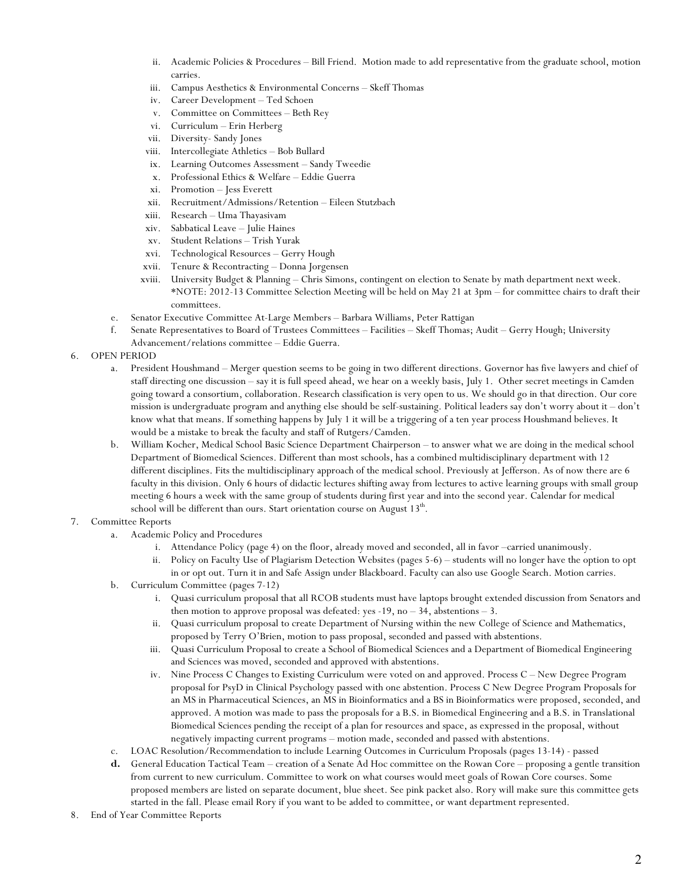- ii. Academic Policies & Procedures Bill Friend. Motion made to add representative from the graduate school, motion carries.
- iii. Campus Aesthetics & Environmental Concerns Skeff Thomas
- iv. Career Development Ted Schoen
- v. Committee on Committees Beth Rey
- vi. Curriculum Erin Herberg
- vii. Diversity- Sandy Jones
- viii. Intercollegiate Athletics Bob Bullard
- ix. Learning Outcomes Assessment Sandy Tweedie
- x. Professional Ethics & Welfare Eddie Guerra
- xi. Promotion Jess Everett
- xii. Recruitment/Admissions/Retention Eileen Stutzbach
- xiii. Research Uma Thayasivam
- xiv. Sabbatical Leave Julie Haines
- xv. Student Relations Trish Yurak
- xvi. Technological Resources Gerry Hough
- xvii. Tenure & Recontracting Donna Jorgensen
- xviii. University Budget & Planning Chris Simons, contingent on election to Senate by math department next week. \*NOTE: 2012-13 Committee Selection Meeting will be held on May 21 at 3pm – for committee chairs to draft their committees.
- e. Senator Executive Committee At-Large Members Barbara Williams, Peter Rattigan
- f. Senate Representatives to Board of Trustees Committees Facilities Skeff Thomas; Audit Gerry Hough; University Advancement/relations committee – Eddie Guerra.
- 6. OPEN PERIOD
	- a. President Houshmand Merger question seems to be going in two different directions. Governor has five lawyers and chief of staff directing one discussion – say it is full speed ahead, we hear on a weekly basis, July 1. Other secret meetings in Camden going toward a consortium, collaboration. Research classification is very open to us. We should go in that direction. Our core mission is undergraduate program and anything else should be self-sustaining. Political leaders say don't worry about it – don't know what that means. If something happens by July 1 it will be a triggering of a ten year process Houshmand believes. It would be a mistake to break the faculty and staff of Rutgers/Camden.
	- b. William Kocher, Medical School Basic Science Department Chairperson to answer what we are doing in the medical school Department of Biomedical Sciences. Different than most schools, has a combined multidisciplinary department with 12 different disciplines. Fits the multidisciplinary approach of the medical school. Previously at Jefferson. As of now there are 6 faculty in this division. Only 6 hours of didactic lectures shifting away from lectures to active learning groups with small group meeting 6 hours a week with the same group of students during first year and into the second year. Calendar for medical school will be different than ours. Start orientation course on August 13<sup>th</sup>.

#### 7. Committee Reports

- a. Academic Policy and Procedures
	- i. Attendance Policy (page 4) on the floor, already moved and seconded, all in favor –carried unanimously.
	- ii. Policy on Faculty Use of Plagiarism Detection Websites (pages 5-6) students will no longer have the option to opt in or opt out. Turn it in and Safe Assign under Blackboard. Faculty can also use Google Search. Motion carries.
- b. Curriculum Committee (pages 7-12)
	- i. Quasi curriculum proposal that all RCOB students must have laptops brought extended discussion from Senators and then motion to approve proposal was defeated: yes  $-19$ , no  $-34$ , abstentions  $-3$ .
	- ii. Quasi curriculum proposal to create Department of Nursing within the new College of Science and Mathematics, proposed by Terry O'Brien, motion to pass proposal, seconded and passed with abstentions.
	- iii. Quasi Curriculum Proposal to create a School of Biomedical Sciences and a Department of Biomedical Engineering and Sciences was moved, seconded and approved with abstentions.
	- iv. Nine Process C Changes to Existing Curriculum were voted on and approved. Process C New Degree Program proposal for PsyD in Clinical Psychology passed with one abstention. Process C New Degree Program Proposals for an MS in Pharmaceutical Sciences, an MS in Bioinformatics and a BS in Bioinformatics were proposed, seconded, and approved. A motion was made to pass the proposals for a B.S. in Biomedical Engineering and a B.S. in Translational Biomedical Sciences pending the receipt of a plan for resources and space, as expressed in the proposal, without negatively impacting current programs – motion made, seconded and passed with abstentions.
- c. LOAC Resolution/Recommendation to include Learning Outcomes in Curriculum Proposals (pages 13-14) passed
- **d.** General Education Tactical Team creation of a Senate Ad Hoc committee on the Rowan Core proposing a gentle transition from current to new curriculum. Committee to work on what courses would meet goals of Rowan Core courses. Some proposed members are listed on separate document, blue sheet. See pink packet also. Rory will make sure this committee gets started in the fall. Please email Rory if you want to be added to committee, or want department represented.
- 8. End of Year Committee Reports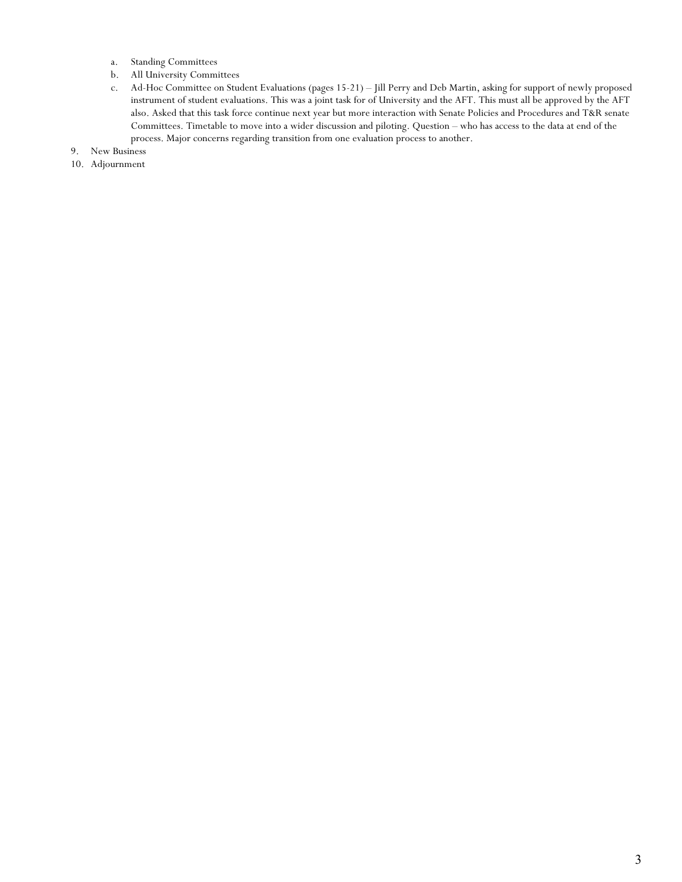- a. Standing Committees
- b. All University Committees
- c. Ad-Hoc Committee on Student Evaluations (pages 15-21) Jill Perry and Deb Martin, asking for support of newly proposed instrument of student evaluations. This was a joint task for of University and the AFT. This must all be approved by the AFT also. Asked that this task force continue next year but more interaction with Senate Policies and Procedures and T&R senate Committees. Timetable to move into a wider discussion and piloting. Question – who has access to the data at end of the process. Major concerns regarding transition from one evaluation process to another.
- 9. New Business
- 10. Adjournment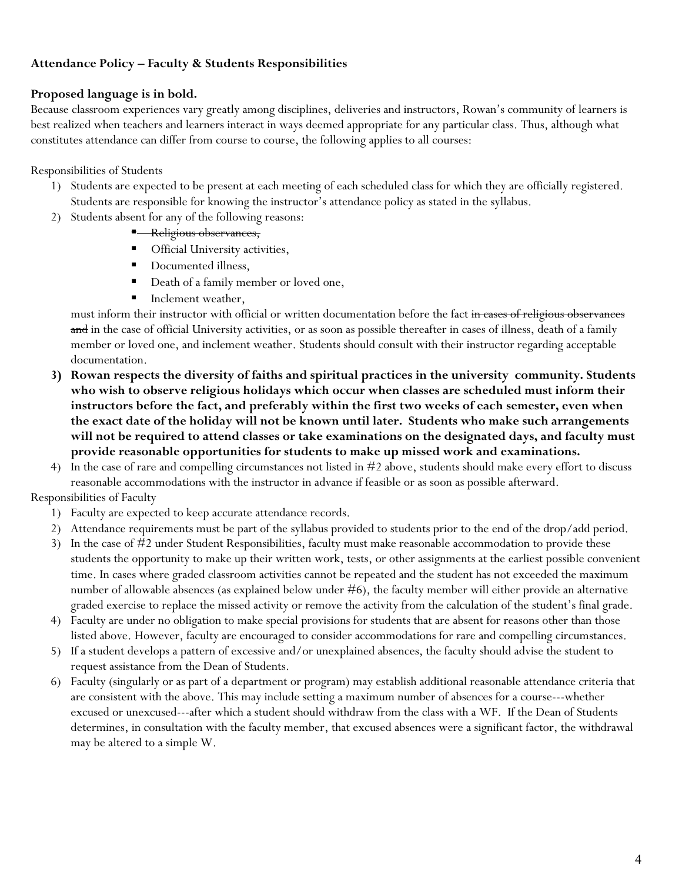## **Attendance Policy – Faculty & Students Responsibilities**

## **Proposed language is in bold.**

Because classroom experiences vary greatly among disciplines, deliveries and instructors, Rowan's community of learners is best realized when teachers and learners interact in ways deemed appropriate for any particular class. Thus, although what constitutes attendance can differ from course to course, the following applies to all courses:

Responsibilities of Students

- 1) Students are expected to be present at each meeting of each scheduled class for which they are officially registered. Students are responsible for knowing the instructor's attendance policy as stated in the syllabus.
- 2) Students absent for any of the following reasons:
	- **Religious observances,**
	- Official University activities,
	- Documented illness,
	- Death of a family member or loved one,
	- Inclement weather,

must inform their instructor with official or written documentation before the fact in cases of religious observances and in the case of official University activities, or as soon as possible thereafter in cases of illness, death of a family member or loved one, and inclement weather. Students should consult with their instructor regarding acceptable documentation.

- **3) Rowan respects the diversity of faiths and spiritual practices in the university community. Students who wish to observe religious holidays which occur when classes are scheduled must inform their instructors before the fact, and preferably within the first two weeks of each semester, even when the exact date of the holiday will not be known until later. Students who make such arrangements will not be required to attend classes or take examinations on the designated days, and faculty must provide reasonable opportunities for students to make up missed work and examinations.**
- 4) In the case of rare and compelling circumstances not listed in #2 above, students should make every effort to discuss reasonable accommodations with the instructor in advance if feasible or as soon as possible afterward.

## Responsibilities of Faculty

- 1) Faculty are expected to keep accurate attendance records.
- 2) Attendance requirements must be part of the syllabus provided to students prior to the end of the drop/add period.
- 3) In the case of #2 under Student Responsibilities, faculty must make reasonable accommodation to provide these students the opportunity to make up their written work, tests, or other assignments at the earliest possible convenient time. In cases where graded classroom activities cannot be repeated and the student has not exceeded the maximum number of allowable absences (as explained below under #6), the faculty member will either provide an alternative graded exercise to replace the missed activity or remove the activity from the calculation of the student's final grade.
- 4) Faculty are under no obligation to make special provisions for students that are absent for reasons other than those listed above. However, faculty are encouraged to consider accommodations for rare and compelling circumstances.
- 5) If a student develops a pattern of excessive and/or unexplained absences, the faculty should advise the student to request assistance from the Dean of Students.
- 6) Faculty (singularly or as part of a department or program) may establish additional reasonable attendance criteria that are consistent with the above. This may include setting a maximum number of absences for a course---whether excused or unexcused---after which a student should withdraw from the class with a WF. If the Dean of Students determines, in consultation with the faculty member, that excused absences were a significant factor, the withdrawal may be altered to a simple W.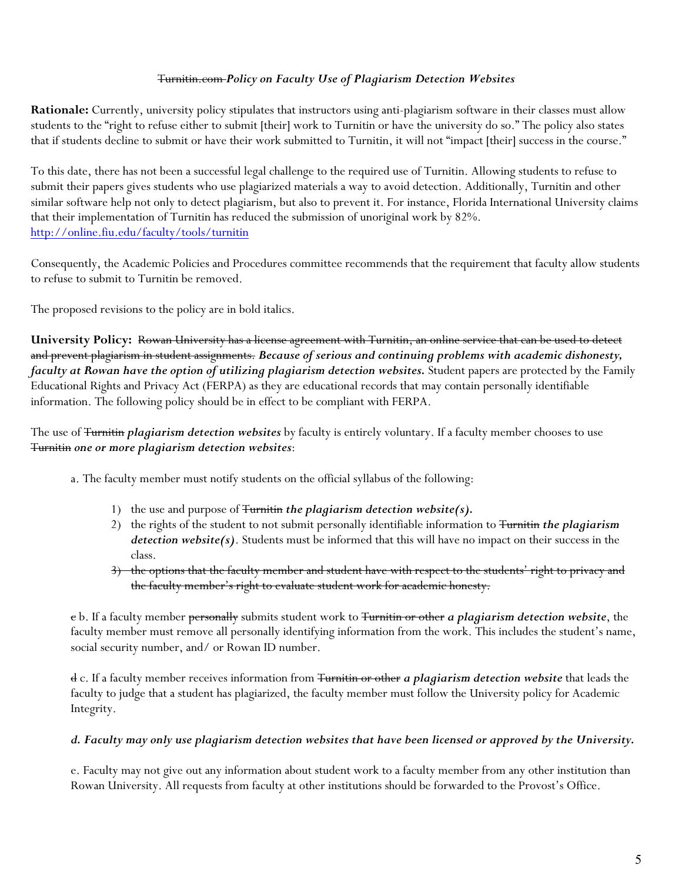## Turnitin.com *Policy on Faculty Use of Plagiarism Detection Websites*

**Rationale:** Currently, university policy stipulates that instructors using anti-plagiarism software in their classes must allow students to the "right to refuse either to submit [their] work to Turnitin or have the university do so." The policy also states that if students decline to submit or have their work submitted to Turnitin, it will not "impact [their] success in the course."

To this date, there has not been a successful legal challenge to the required use of Turnitin. Allowing students to refuse to submit their papers gives students who use plagiarized materials a way to avoid detection. Additionally, Turnitin and other similar software help not only to detect plagiarism, but also to prevent it. For instance, Florida International University claims that their implementation of Turnitin has reduced the submission of unoriginal work by 82%. http://online.fiu.edu/faculty/tools/turnitin

Consequently, the Academic Policies and Procedures committee recommends that the requirement that faculty allow students to refuse to submit to Turnitin be removed.

The proposed revisions to the policy are in bold italics.

**University Policy:** Rowan University has a license agreement with Turnitin, an online service that can be used to detect and prevent plagiarism in student assignments. *Because of serious and continuing problems with academic dishonesty, faculty at Rowan have the option of utilizing plagiarism detection websites.* Student papers are protected by the Family Educational Rights and Privacy Act (FERPA) as they are educational records that may contain personally identifiable information. The following policy should be in effect to be compliant with FERPA.

The use of Turnitin *plagiarism detection websites* by faculty is entirely voluntary. If a faculty member chooses to use Turnitin *one or more plagiarism detection websites*:

a. The faculty member must notify students on the official syllabus of the following:

- 1) the use and purpose of Turnitin *the plagiarism detection website(s).*
- 2) the rights of the student to not submit personally identifiable information to Turnitin *the plagiarism detection website(s)*. Students must be informed that this will have no impact on their success in the class.
- 3) the options that the faculty member and student have with respect to the students' right to privacy and the faculty member's right to evaluate student work for academic honesty.

c b. If a faculty member personally submits student work to Turnitin or other *a plagiarism detection website*, the faculty member must remove all personally identifying information from the work. This includes the student's name, social security number, and/ or Rowan ID number.

d c. If a faculty member receives information from Turnitin or other *a plagiarism detection website* that leads the faculty to judge that a student has plagiarized, the faculty member must follow the University policy for Academic Integrity.

### *d. Faculty may only use plagiarism detection websites that have been licensed or approved by the University.*

e. Faculty may not give out any information about student work to a faculty member from any other institution than Rowan University. All requests from faculty at other institutions should be forwarded to the Provost's Office.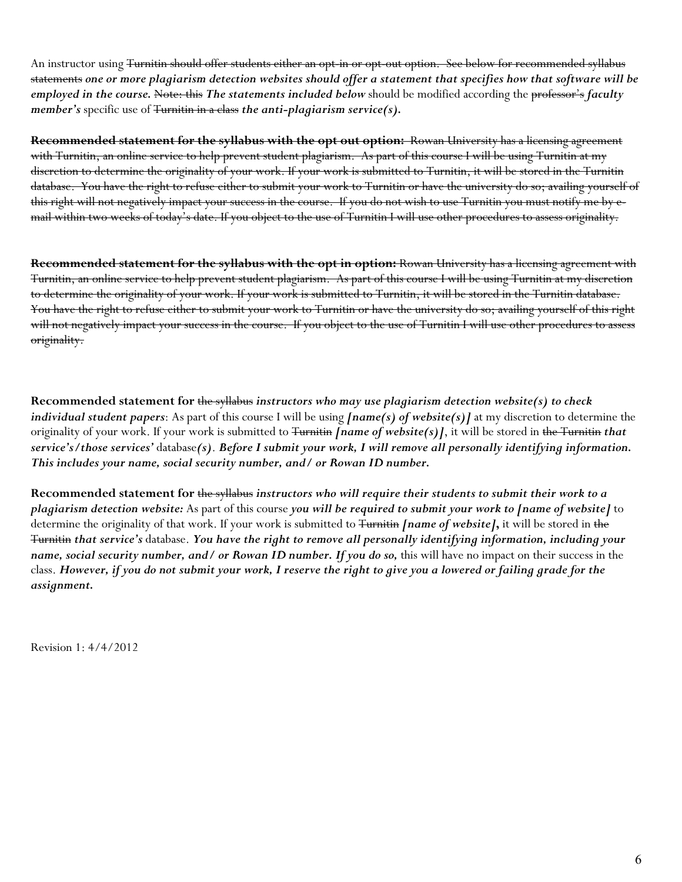An instructor using <del>Turnitin should offer students either an opt-in or opt-out option. See below for recommended syllabus</del> statements *one or more plagiarism detection websites should offer a statement that specifies how that software will be employed in the course.* Note: this *The statements included below* should be modified according the professor's *faculty member's* specific use of <del>Turnitin in a class</del> the anti-plagiarism service(s).

**Recommended statement for the syllabus with the opt out option:** Rowan University has a licensing agreement with Turnitin, an online service to help prevent student plagiarism. As part of this course I will be using Turnitin at my discretion to determine the originality of your work. If your work is submitted to Turnitin, it will be stored in the Turnitin database. You have the right to refuse either to submit your work to Turnitin or have the university do so; availing yourself of this right will not negatively impact your success in the course. If you do not wish to use Turnitin you must notify me by email within two weeks of today's date. If you object to the use of Turnitin I will use other procedures to assess originality.

**Recommended statement for the syllabus with the opt in option:** Rowan University has a licensing agreement with Turnitin, an online service to help prevent student plagiarism. As part of this course I will be using Turnitin at my discretion to determine the originality of your work. If your work is submitted to Turnitin, it will be stored in the Turnitin database. You have the right to refuse either to submit your work to Turnitin or have the university do so; availing yourself of this right will not negatively impact your success in the course. If you object to the use of Turnitin I will use other procedures to assess originality.

**Recommended statement for** the syllabus *instructors who may use plagiarism detection website(s) to check individual student papers*: As part of this course I will be using *[name(s) of website(s)]* at my discretion to determine the originality of your work. If your work is submitted to Turnitin *[name of website(s)]*, it will be stored in the Turnitin *that service's/those services'* database*(s)*. *Before I submit your work, I will remove all personally identifying information. This includes your name, social security number, and/ or Rowan ID number.*

**Recommended statement for** the syllabus *instructors who will require their students to submit their work to a plagiarism detection website:* As part of this course *you will be required to submit your work to [name of website]* to determine the originality of that work. If your work is submitted to Turnitin *[name of website]***,** it will be stored in the Turnitin *that service's* database. *You have the right to remove all personally identifying information, including your name, social security number, and/ or Rowan ID number. If you do so,* this will have no impact on their success in the class. *However, if you do not submit your work, I reserve the right to give you a lowered or failing grade for the assignment.*

Revision 1: 4/4/2012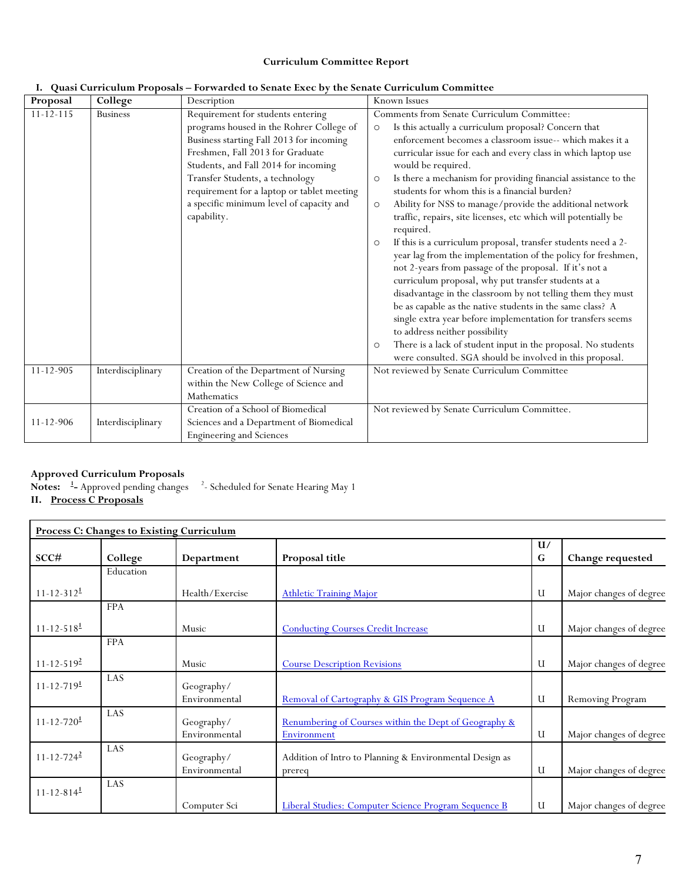#### **Curriculum Committee Report**

| Proposal        | College           | Description                                                                                                                                                                                                                                                                                                                                       | Known Issues                                                                                                                                                                                                                                                                                                                                                                                                                                                                                                                                                                                                                                                                                                                                                                                                                                                                                                                                                                                                                                                                                                                |
|-----------------|-------------------|---------------------------------------------------------------------------------------------------------------------------------------------------------------------------------------------------------------------------------------------------------------------------------------------------------------------------------------------------|-----------------------------------------------------------------------------------------------------------------------------------------------------------------------------------------------------------------------------------------------------------------------------------------------------------------------------------------------------------------------------------------------------------------------------------------------------------------------------------------------------------------------------------------------------------------------------------------------------------------------------------------------------------------------------------------------------------------------------------------------------------------------------------------------------------------------------------------------------------------------------------------------------------------------------------------------------------------------------------------------------------------------------------------------------------------------------------------------------------------------------|
| $11 - 12 - 115$ | <b>Business</b>   | Requirement for students entering<br>programs housed in the Rohrer College of<br>Business starting Fall 2013 for incoming<br>Freshmen, Fall 2013 for Graduate<br>Students, and Fall 2014 for incoming<br>Transfer Students, a technology<br>requirement for a laptop or tablet meeting<br>a specific minimum level of capacity and<br>capability. | Comments from Senate Curriculum Committee:<br>Is this actually a curriculum proposal? Concern that<br>$\circ$<br>enforcement becomes a classroom issue-- which makes it a<br>curricular issue for each and every class in which laptop use<br>would be required.<br>Is there a mechanism for providing financial assistance to the<br>$\circ$<br>students for whom this is a financial burden?<br>Ability for NSS to manage/provide the additional network<br>$\circ$<br>traffic, repairs, site licenses, etc which will potentially be<br>required.<br>If this is a curriculum proposal, transfer students need a 2-<br>$\circ$<br>year lag from the implementation of the policy for freshmen,<br>not 2-years from passage of the proposal. If it's not a<br>curriculum proposal, why put transfer students at a<br>disadvantage in the classroom by not telling them they must<br>be as capable as the native students in the same class? A<br>single extra year before implementation for transfers seems<br>to address neither possibility<br>There is a lack of student input in the proposal. No students<br>$\circ$ |
| $11 - 12 - 905$ | Interdisciplinary | Creation of the Department of Nursing                                                                                                                                                                                                                                                                                                             | were consulted. SGA should be involved in this proposal.<br>Not reviewed by Senate Curriculum Committee                                                                                                                                                                                                                                                                                                                                                                                                                                                                                                                                                                                                                                                                                                                                                                                                                                                                                                                                                                                                                     |
|                 |                   | within the New College of Science and<br>Mathematics                                                                                                                                                                                                                                                                                              |                                                                                                                                                                                                                                                                                                                                                                                                                                                                                                                                                                                                                                                                                                                                                                                                                                                                                                                                                                                                                                                                                                                             |
| $11 - 12 - 906$ | Interdisciplinary | Creation of a School of Biomedical<br>Sciences and a Department of Biomedical<br><b>Engineering and Sciences</b>                                                                                                                                                                                                                                  | Not reviewed by Senate Curriculum Committee.                                                                                                                                                                                                                                                                                                                                                                                                                                                                                                                                                                                                                                                                                                                                                                                                                                                                                                                                                                                                                                                                                |

## **I. Quasi Curriculum Proposals – Forwarded to Senate Exec by the Senate Curriculum Committee**

## **Approved Curriculum Proposals**

Notes: <sup>1</sup>- Approved pending changes <sup>2</sup>  $^{\circ}$  - Scheduled for Senate Hearing May 1 **II. Process C Proposals**

|                              | <b>Process C: Changes to Existing Curriculum</b> |                             |                                                                      |         |                         |  |  |  |  |
|------------------------------|--------------------------------------------------|-----------------------------|----------------------------------------------------------------------|---------|-------------------------|--|--|--|--|
| SCC#                         | College                                          | Department                  | Proposal title                                                       | U/<br>G | Change requested        |  |  |  |  |
|                              | Education                                        |                             |                                                                      |         |                         |  |  |  |  |
| $11 - 12 - 312$ <sup>1</sup> |                                                  | Health/Exercise             | <b>Athletic Training Major</b>                                       | U       | Major changes of degree |  |  |  |  |
|                              | <b>FPA</b>                                       |                             |                                                                      |         |                         |  |  |  |  |
| $11 - 12 - 518$ <sup>1</sup> |                                                  | Music                       | <b>Conducting Courses Credit Increase</b>                            | U       | Major changes of degree |  |  |  |  |
|                              | <b>FPA</b>                                       |                             |                                                                      |         |                         |  |  |  |  |
| $11 - 12 - 519^2$            |                                                  | Music                       | <b>Course Description Revisions</b>                                  | U       | Major changes of degree |  |  |  |  |
| $11 - 12 - 719$ <sup>1</sup> | LAS                                              | Geography/<br>Environmental | Removal of Cartography & GIS Program Sequence A                      | U       | Removing Program        |  |  |  |  |
| $11 - 12 - 720$ <sup>1</sup> | LAS                                              | Geography/<br>Environmental | Renumbering of Courses within the Dept of Geography &<br>Environment | U       | Major changes of degree |  |  |  |  |
| $11 - 12 - 724^2$            | LAS                                              | Geography/<br>Environmental | Addition of Intro to Planning & Environmental Design as<br>prereq    | U       | Major changes of degree |  |  |  |  |
| $11 - 12 - 814$              | LAS                                              |                             |                                                                      |         |                         |  |  |  |  |
|                              |                                                  | Computer Sci                | Liberal Studies: Computer Science Program Sequence B                 | U       | Major changes of degree |  |  |  |  |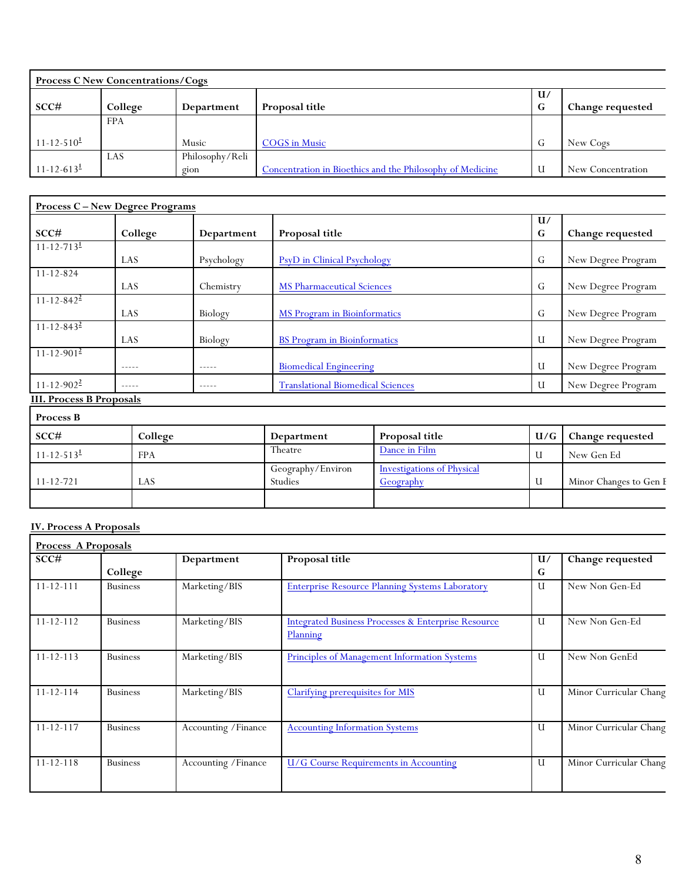| <b>Process C New Concentrations/Cogs</b> |            |                 |                                                           |              |                   |  |  |
|------------------------------------------|------------|-----------------|-----------------------------------------------------------|--------------|-------------------|--|--|
|                                          |            |                 |                                                           | $\mathbf{u}$ |                   |  |  |
| SCC#                                     | College    | Department      | Proposal title                                            | G            | Change requested  |  |  |
|                                          | <b>FPA</b> |                 |                                                           |              |                   |  |  |
| $11 - 12 - 510^{\underline{1}}$          |            | Music           | <b>COGS</b> in Music                                      | G            | New Cogs          |  |  |
|                                          | LAS        | Philosophy/Reli |                                                           |              |                   |  |  |
| $11 - 12 - 613$                          |            | gion            | Concentration in Bioethics and the Philosophy of Medicine | U            | New Concentration |  |  |

| <b>Process C-New Degree Programs</b> |               |               |                                          |         |                    |  |  |
|--------------------------------------|---------------|---------------|------------------------------------------|---------|--------------------|--|--|
| SCC#                                 | College       | Department    | Proposal title                           | U/<br>G | Change requested   |  |  |
| $11 - 12 - 713^{\underline{1}}$      | LAS           | Psychology    | <b>PsyD</b> in Clinical Psychology       | G       | New Degree Program |  |  |
| $11 - 12 - 824$                      | LAS           | Chemistry     | <b>MS Pharmaceutical Sciences</b>        | G       | New Degree Program |  |  |
| $11 - 12 - 842^2$                    | LAS           | Biology       | MS Program in Bioinformatics             | G       | New Degree Program |  |  |
| $11 - 12 - 843^2$                    | LAS           | Biology       | <b>BS</b> Program in Bioinformatics      | U       | New Degree Program |  |  |
| $11 - 12 - 901^2$                    | -----         |               | <b>Biomedical Engineering</b>            | U       | New Degree Program |  |  |
| $11 - 12 - 902^2$                    | $- - - - - -$ | $- - - - - -$ | <b>Translational Biomedical Sciences</b> | U       | New Degree Program |  |  |
| <b>III. Process B Proposals</b>      |               |               |                                          |         |                    |  |  |

| <b>Process B</b>                |            |                              |                                                |       |                        |
|---------------------------------|------------|------------------------------|------------------------------------------------|-------|------------------------|
| SCC#                            | College    | Department                   | Proposal title                                 | $U/G$ | Change requested       |
| $11 - 12 - 513^{\underline{1}}$ | <b>FPA</b> | Theatre                      | Dance in Film                                  |       | New Gen Ed             |
| $11 - 12 - 721$                 | LAS        | Geography/Environ<br>Studies | <b>Investigations of Physical</b><br>Geography |       | Minor Changes to Gen E |
|                                 |            |                              |                                                |       |                        |

# **IV. Process A Proposals**

| Process A Proposals |                 |                      |                                                                            |    |                        |  |  |
|---------------------|-----------------|----------------------|----------------------------------------------------------------------------|----|------------------------|--|--|
| SCC#                |                 | Department           | Proposal title                                                             | U/ | Change requested       |  |  |
|                     | College         |                      |                                                                            | G  |                        |  |  |
| $11 - 12 - 111$     | <b>Business</b> | Marketing/BIS        | <b>Enterprise Resource Planning Systems Laboratory</b>                     | U  | New Non Gen-Ed         |  |  |
| $11 - 12 - 112$     | <b>Business</b> | Marketing/BIS        | <b>Integrated Business Processes &amp; Enterprise Resource</b><br>Planning | U  | New Non Gen-Ed         |  |  |
| $11 - 12 - 113$     | <b>Business</b> | Marketing/BIS        | Principles of Management Information Systems                               | U  | New Non GenEd          |  |  |
| $11 - 12 - 114$     | <b>Business</b> | Marketing/BIS        | <b>Clarifying prerequisites for MIS</b>                                    | U  | Minor Curricular Chang |  |  |
| $11 - 12 - 117$     | <b>Business</b> | Accounting / Finance | <b>Accounting Information Systems</b>                                      | U  | Minor Curricular Chang |  |  |
| $11 - 12 - 118$     | <b>Business</b> | Accounting / Finance | <b>U/G Course Requirements in Accounting</b>                               | U  | Minor Curricular Chang |  |  |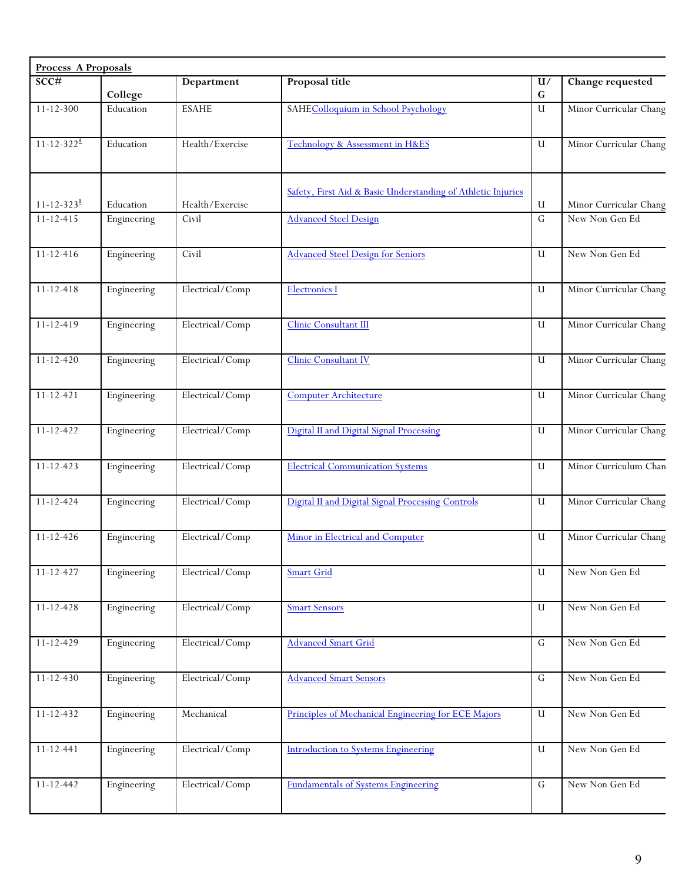| SCC#<br>Proposal title<br>Department<br>U/<br>College<br>G<br>Education<br>$11 - 12 - 300$<br><b>ESAHE</b><br>SAHEColloquium in School Psychology<br>$\mathbf{U}$<br>$11 - 12 - 322^{\underline{1}}$<br>Health/Exercise<br>Education<br>Technology & Assessment in H&ES<br>U<br>Safety, First Aid & Basic Understanding of Athletic Injuries<br>$11 - 12 - 323^{\underline{1}}$<br>Health/Exercise<br>U<br>Education<br>Civil<br><b>Advanced Steel Design</b><br>$\overline{G}$<br>$11 - 12 - 415$<br>Engineering<br>Civil<br><b>Advanced Steel Design for Seniors</b><br>$11 - 12 - 416$<br>Engineering<br>U<br>Electrical/Comp<br>$11 - 12 - 418$<br><b>Electronics I</b><br>U<br>Engineering<br>Electrical/Comp<br>$11 - 12 - 419$<br>Clinic Consultant III<br>Engineering<br>U<br>Electrical/Comp<br>Clinic Consultant IV<br>$11 - 12 - 420$<br>Engineering<br>U<br>Electrical/Comp<br><b>Computer Architecture</b><br>$11 - 12 - 421$<br>U<br>Engineering<br>Electrical/Comp<br>Digital II and Digital Signal Processing<br>$11 - 12 - 422$<br>$\mathbf{U}$<br>Engineering<br><b>Electrical Communication Systems</b><br>Electrical/Comp<br>$11 - 12 - 423$<br>U<br>Engineering<br>Electrical/Comp<br>Engineering<br>Digital II and Digital Signal Processing Controls<br>U<br>$11 - 12 - 424$<br>Electrical/Comp<br>$11 - 12 - 426$<br>Minor in Electrical and Computer<br>Engineering<br>U<br>Electrical/Comp<br><b>Smart Grid</b><br>$11 - 12 - 427$<br>Engineering<br>U<br>Electrical/Comp<br>$11 - 12 - 428$<br>Engineering<br><b>Smart Sensors</b><br>U<br>Electrical/Comp<br><b>Advanced Smart Grid</b><br>$11 - 12 - 429$<br>Engineering<br>G<br>Electrical/Comp<br><b>Advanced Smart Sensors</b><br>$11 - 12 - 430$<br>Engineering<br>$\mathsf G$ |                           |
|-----------------------------------------------------------------------------------------------------------------------------------------------------------------------------------------------------------------------------------------------------------------------------------------------------------------------------------------------------------------------------------------------------------------------------------------------------------------------------------------------------------------------------------------------------------------------------------------------------------------------------------------------------------------------------------------------------------------------------------------------------------------------------------------------------------------------------------------------------------------------------------------------------------------------------------------------------------------------------------------------------------------------------------------------------------------------------------------------------------------------------------------------------------------------------------------------------------------------------------------------------------------------------------------------------------------------------------------------------------------------------------------------------------------------------------------------------------------------------------------------------------------------------------------------------------------------------------------------------------------------------------------------------------------------------------------------------------------------------------------------------------------|---------------------------|
|                                                                                                                                                                                                                                                                                                                                                                                                                                                                                                                                                                                                                                                                                                                                                                                                                                                                                                                                                                                                                                                                                                                                                                                                                                                                                                                                                                                                                                                                                                                                                                                                                                                                                                                                                                 | Change requested          |
|                                                                                                                                                                                                                                                                                                                                                                                                                                                                                                                                                                                                                                                                                                                                                                                                                                                                                                                                                                                                                                                                                                                                                                                                                                                                                                                                                                                                                                                                                                                                                                                                                                                                                                                                                                 | Minor Curricular Chang    |
|                                                                                                                                                                                                                                                                                                                                                                                                                                                                                                                                                                                                                                                                                                                                                                                                                                                                                                                                                                                                                                                                                                                                                                                                                                                                                                                                                                                                                                                                                                                                                                                                                                                                                                                                                                 | Minor Curricular Chang    |
|                                                                                                                                                                                                                                                                                                                                                                                                                                                                                                                                                                                                                                                                                                                                                                                                                                                                                                                                                                                                                                                                                                                                                                                                                                                                                                                                                                                                                                                                                                                                                                                                                                                                                                                                                                 | Minor Curricular Chang    |
|                                                                                                                                                                                                                                                                                                                                                                                                                                                                                                                                                                                                                                                                                                                                                                                                                                                                                                                                                                                                                                                                                                                                                                                                                                                                                                                                                                                                                                                                                                                                                                                                                                                                                                                                                                 | New Non Gen Ed            |
|                                                                                                                                                                                                                                                                                                                                                                                                                                                                                                                                                                                                                                                                                                                                                                                                                                                                                                                                                                                                                                                                                                                                                                                                                                                                                                                                                                                                                                                                                                                                                                                                                                                                                                                                                                 |                           |
|                                                                                                                                                                                                                                                                                                                                                                                                                                                                                                                                                                                                                                                                                                                                                                                                                                                                                                                                                                                                                                                                                                                                                                                                                                                                                                                                                                                                                                                                                                                                                                                                                                                                                                                                                                 | New Non Gen Ed            |
|                                                                                                                                                                                                                                                                                                                                                                                                                                                                                                                                                                                                                                                                                                                                                                                                                                                                                                                                                                                                                                                                                                                                                                                                                                                                                                                                                                                                                                                                                                                                                                                                                                                                                                                                                                 | Minor Curricular Chang    |
|                                                                                                                                                                                                                                                                                                                                                                                                                                                                                                                                                                                                                                                                                                                                                                                                                                                                                                                                                                                                                                                                                                                                                                                                                                                                                                                                                                                                                                                                                                                                                                                                                                                                                                                                                                 | Minor Curricular Chang    |
|                                                                                                                                                                                                                                                                                                                                                                                                                                                                                                                                                                                                                                                                                                                                                                                                                                                                                                                                                                                                                                                                                                                                                                                                                                                                                                                                                                                                                                                                                                                                                                                                                                                                                                                                                                 | Minor Curricular Chang    |
|                                                                                                                                                                                                                                                                                                                                                                                                                                                                                                                                                                                                                                                                                                                                                                                                                                                                                                                                                                                                                                                                                                                                                                                                                                                                                                                                                                                                                                                                                                                                                                                                                                                                                                                                                                 | Minor Curricular Chang    |
|                                                                                                                                                                                                                                                                                                                                                                                                                                                                                                                                                                                                                                                                                                                                                                                                                                                                                                                                                                                                                                                                                                                                                                                                                                                                                                                                                                                                                                                                                                                                                                                                                                                                                                                                                                 | Minor Curricular Chang    |
|                                                                                                                                                                                                                                                                                                                                                                                                                                                                                                                                                                                                                                                                                                                                                                                                                                                                                                                                                                                                                                                                                                                                                                                                                                                                                                                                                                                                                                                                                                                                                                                                                                                                                                                                                                 | Minor Curriculum Chan     |
|                                                                                                                                                                                                                                                                                                                                                                                                                                                                                                                                                                                                                                                                                                                                                                                                                                                                                                                                                                                                                                                                                                                                                                                                                                                                                                                                                                                                                                                                                                                                                                                                                                                                                                                                                                 | Minor Curricular Chang    |
|                                                                                                                                                                                                                                                                                                                                                                                                                                                                                                                                                                                                                                                                                                                                                                                                                                                                                                                                                                                                                                                                                                                                                                                                                                                                                                                                                                                                                                                                                                                                                                                                                                                                                                                                                                 | Minor Curricular Chang    |
|                                                                                                                                                                                                                                                                                                                                                                                                                                                                                                                                                                                                                                                                                                                                                                                                                                                                                                                                                                                                                                                                                                                                                                                                                                                                                                                                                                                                                                                                                                                                                                                                                                                                                                                                                                 | ${\hbox{New Non Gen Ed}}$ |
|                                                                                                                                                                                                                                                                                                                                                                                                                                                                                                                                                                                                                                                                                                                                                                                                                                                                                                                                                                                                                                                                                                                                                                                                                                                                                                                                                                                                                                                                                                                                                                                                                                                                                                                                                                 | New Non Gen Ed            |
|                                                                                                                                                                                                                                                                                                                                                                                                                                                                                                                                                                                                                                                                                                                                                                                                                                                                                                                                                                                                                                                                                                                                                                                                                                                                                                                                                                                                                                                                                                                                                                                                                                                                                                                                                                 | New Non Gen Ed            |
|                                                                                                                                                                                                                                                                                                                                                                                                                                                                                                                                                                                                                                                                                                                                                                                                                                                                                                                                                                                                                                                                                                                                                                                                                                                                                                                                                                                                                                                                                                                                                                                                                                                                                                                                                                 | New Non Gen Ed            |
| $11 - 12 - 432$<br>Mechanical<br>Principles of Mechanical Engineering for ECE Majors<br>Engineering<br>$\mathbf{U}$                                                                                                                                                                                                                                                                                                                                                                                                                                                                                                                                                                                                                                                                                                                                                                                                                                                                                                                                                                                                                                                                                                                                                                                                                                                                                                                                                                                                                                                                                                                                                                                                                                             | New Non Gen Ed            |
| Electrical/Comp<br>$11 - 12 - 441$<br>Engineering<br><b>Introduction to Systems Engineering</b><br>U                                                                                                                                                                                                                                                                                                                                                                                                                                                                                                                                                                                                                                                                                                                                                                                                                                                                                                                                                                                                                                                                                                                                                                                                                                                                                                                                                                                                                                                                                                                                                                                                                                                            | New Non Gen Ed            |
| $11 - 12 - 442$<br>Engineering<br>Electrical/Comp<br>$\mathsf G$<br><b>Fundamentals of Systems Engineering</b>                                                                                                                                                                                                                                                                                                                                                                                                                                                                                                                                                                                                                                                                                                                                                                                                                                                                                                                                                                                                                                                                                                                                                                                                                                                                                                                                                                                                                                                                                                                                                                                                                                                  | New Non Gen Ed            |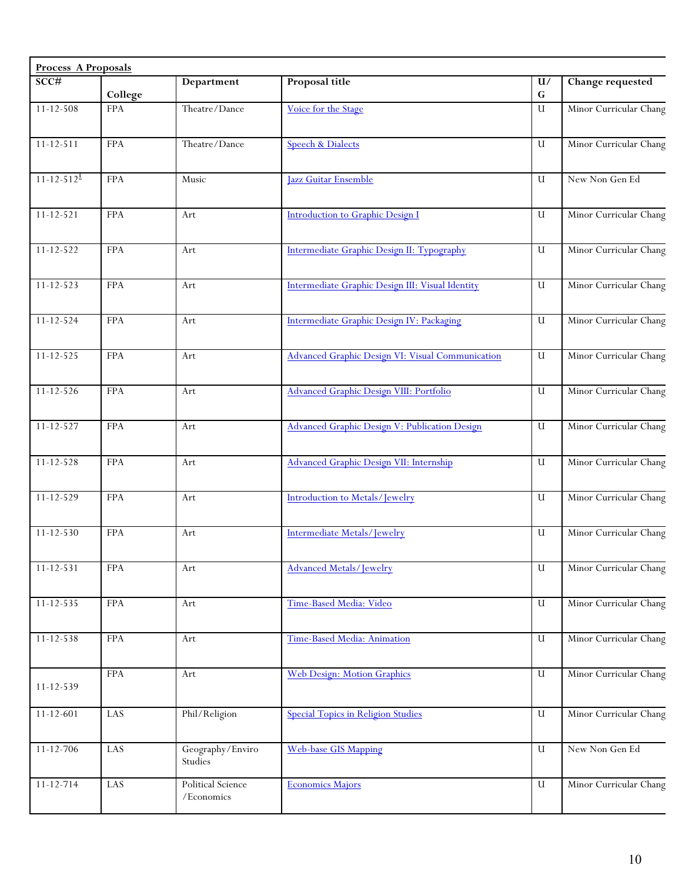| <b>Process A Proposals</b>   |            |                                 |                                                  |                 |                        |
|------------------------------|------------|---------------------------------|--------------------------------------------------|-----------------|------------------------|
| SCC#                         | College    | Department                      | Proposal title                                   | U/<br>${\bf G}$ | Change requested       |
| $11 - 12 - 508$              | <b>FPA</b> | Theatre/Dance                   | Voice for the Stage                              | $\mathbf U$     | Minor Curricular Chang |
| $11 - 12 - 511$              | <b>FPA</b> | Theatre/Dance                   | <b>Speech &amp; Dialects</b>                     | $\mathbf U$     | Minor Curricular Chang |
| $11 - 12 - 512$ <sup>1</sup> | <b>FPA</b> | Music                           | Jazz Guitar Ensemble                             | U               | New Non Gen Ed         |
| $11 - 12 - 521$              | <b>FPA</b> | Art                             | <b>Introduction to Graphic Design I</b>          | U               | Minor Curricular Chang |
| $11 - 12 - 522$              | <b>FPA</b> | Art                             | Intermediate Graphic Design II: Typography       | $\mathbf u$     | Minor Curricular Chang |
| $11 - 12 - 523$              | <b>FPA</b> | Art                             | Intermediate Graphic Design III: Visual Identity | U               | Minor Curricular Chang |
| $11 - 12 - 524$              | <b>FPA</b> | Art                             | Intermediate Graphic Design IV: Packaging        | $\mathbf U$     | Minor Curricular Chang |
| $11 - 12 - 525$              | <b>FPA</b> | Art                             | Advanced Graphic Design VI: Visual Communication | $\mathbf u$     | Minor Curricular Chang |
| $11 - 12 - 526$              | <b>FPA</b> | Art                             | <b>Advanced Graphic Design VIII: Portfolio</b>   | $\mathbf U$     | Minor Curricular Chang |
| $11 - 12 - 527$              | <b>FPA</b> | Art                             | Advanced Graphic Design V: Publication Design    | $\mathbf u$     | Minor Curricular Chang |
| $11 - 12 - 528$              | <b>FPA</b> | Art                             | <b>Advanced Graphic Design VII: Internship</b>   | U               | Minor Curricular Chang |
| $11 - 12 - 529$              | <b>FPA</b> | Art                             | Introduction to Metals/Jewelry                   | U               | Minor Curricular Chang |
| $11 - 12 - 530$              | <b>FPA</b> | Art                             | Intermediate Metals/Jewelry                      | U               | Minor Curricular Chang |
| $11 - 12 - 531$              | <b>FPA</b> | Art                             | <b>Advanced Metals/Jewelry</b>                   | $\mathbf U$     | Minor Curricular Chang |
| $11 - 12 - 535$              | <b>FPA</b> | Art                             | Time-Based Media: Video                          | U               | Minor Curricular Chang |
| $11 - 12 - 538$              | <b>FPA</b> | Art                             | Time-Based Media: Animation                      | $\mathbf U$     | Minor Curricular Chang |
| 11-12-539                    | <b>FPA</b> | Art                             | <b>Web Design: Motion Graphics</b>               | $\mathbf U$     | Minor Curricular Chang |
| $11 - 12 - 601$              | LAS        | Phil/Religion                   | <b>Special Topics in Religion Studies</b>        | U               | Minor Curricular Chang |
| $11 - 12 - 706$              | LAS        | Geography/Enviro<br>Studies     | <b>Web-base GIS Mapping</b>                      | U               | New Non Gen Ed         |
| $11 - 12 - 714$              | LAS        | Political Science<br>/Economics | <b>Economics Majors</b>                          | U               | Minor Curricular Chang |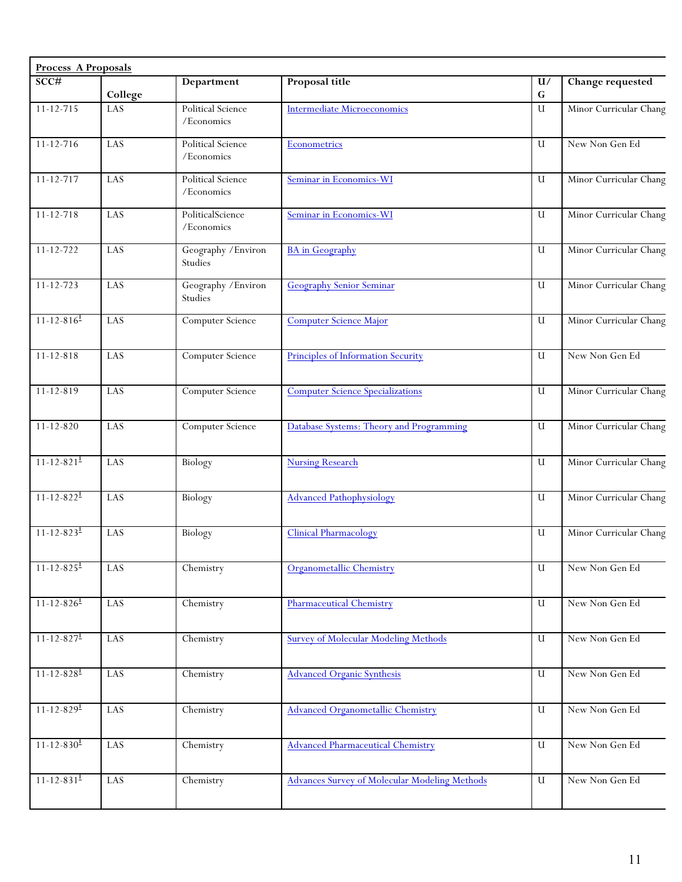| SCC#<br>$11 - 12 - 715$<br>11-12-716<br>11-12-717<br>$11 - 12 - 718$<br>11-12-722 | College<br>LAS | Department<br>Political Science | Proposal title                                       | U/           | Change requested       |
|-----------------------------------------------------------------------------------|----------------|---------------------------------|------------------------------------------------------|--------------|------------------------|
|                                                                                   |                |                                 |                                                      | $\mathbf G$  |                        |
|                                                                                   |                | /Economics                      | <b>Intermediate Microeconomics</b>                   | $\mathbf U$  | Minor Curricular Chang |
|                                                                                   | LAS            | Political Science<br>/Economics | Econometrics                                         | U            | New Non Gen Ed         |
|                                                                                   | LAS            | Political Science<br>/Economics | Seminar in Economics-WI                              | $\mathbf{U}$ | Minor Curricular Chang |
|                                                                                   | LAS            | PoliticalScience<br>/Economics  | Seminar in Economics-WI                              | U            | Minor Curricular Chang |
|                                                                                   | LAS            | Geography / Environ<br>Studies  | <b>BA</b> in Geography                               | $\mathbf{U}$ | Minor Curricular Chang |
| $11 - 12 - 723$                                                                   | LAS            | Geography / Environ<br>Studies  | <b>Geography Senior Seminar</b>                      | $\mathbf{U}$ | Minor Curricular Chang |
| $1\overline{1\cdot 12\cdot 816^1}$                                                | LAS            | Computer Science                | <b>Computer Science Major</b>                        | $\mathbf U$  | Minor Curricular Chang |
| $11 - 12 - 818$                                                                   | LAS            | Computer Science                | Principles of Information Security                   | $\mathbf{U}$ | New Non Gen Ed         |
| $11 - 12 - 819$                                                                   | LAS            | Computer Science                | <b>Computer Science Specializations</b>              | U            | Minor Curricular Chang |
| $11 - 12 - 820$                                                                   | LAS            | Computer Science                | Database Systems: Theory and Programming             | $\mathbf u$  | Minor Curricular Chang |
| $11 - 12 - 821$ <sup>1</sup>                                                      | LAS            | Biology                         | <b>Nursing Research</b>                              | U            | Minor Curricular Chang |
| $11 - 12 - 822$ <sup>1</sup>                                                      | LAS            | Biology                         | <b>Advanced Pathophysiology</b>                      | $\mathbf U$  | Minor Curricular Chang |
| $11 - 12 - 823$ <sup>1</sup>                                                      | LAS            | Biology                         | <b>Clinical Pharmacology</b>                         | U            | Minor Curricular Chang |
| $11 - 12 - 825$ <sup>1</sup>                                                      | LAS            | Chemistry                       | Organometallic Chemistry                             | $\mathbf u$  | New Non Gen Ed         |
| $11 - 12 - 826$ <sup>1</sup>                                                      | LAS            | Chemistry                       | <b>Pharmaceutical Chemistry</b>                      | $\mathbf u$  | New Non Gen Ed         |
| $11 - 12 - 827$                                                                   | LAS            | Chemistry                       | <b>Survey of Molecular Modeling Methods</b>          | U            | New Non Gen Ed         |
| $11 - 12 - 828$ <sup>1</sup>                                                      | LAS            | Chemistry                       | <b>Advanced Organic Synthesis</b>                    | $\mathbf U$  | New Non Gen Ed         |
| $11 - 12 - 829$ <sup>1</sup>                                                      | LAS            | Chemistry                       | <b>Advanced Organometallic Chemistry</b>             | U            | New Non Gen Ed         |
| $11 - 12 - 830$ <sup>1</sup>                                                      | LAS            | Chemistry                       | <b>Advanced Pharmaceutical Chemistry</b>             | $\mathbf U$  | New Non Gen Ed         |
| $11 - 12 - 831$ <sup>1</sup>                                                      | LAS            | Chemistry                       | <b>Advances Survey of Molecular Modeling Methods</b> | $\mathbf U$  | New Non Gen Ed         |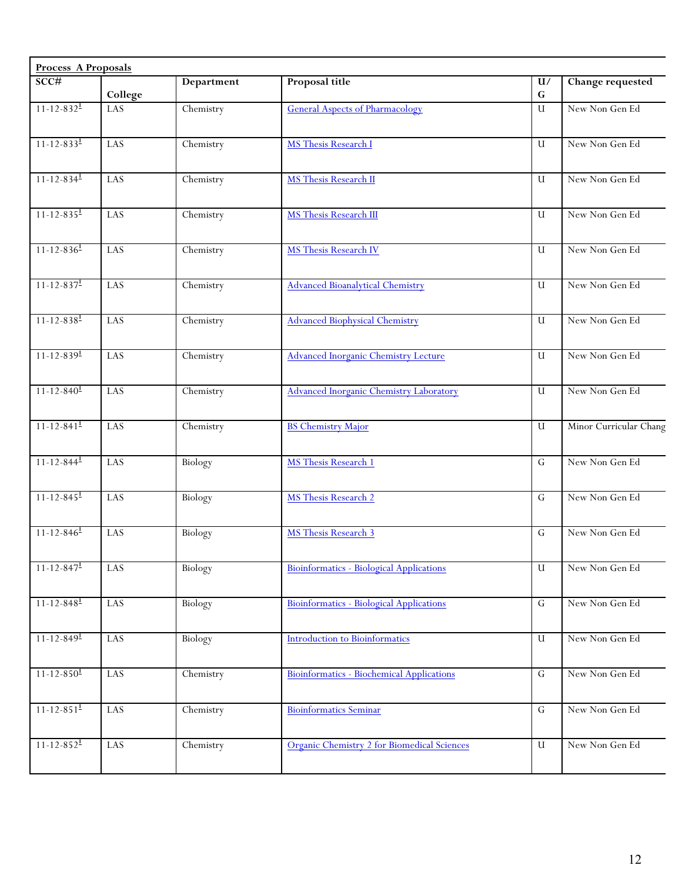| <b>Process A Proposals</b>      |           |            |                                                  |                 |                        |
|---------------------------------|-----------|------------|--------------------------------------------------|-----------------|------------------------|
| SCC#                            | College   | Department | Proposal title                                   | U/<br>${\bf G}$ | Change requested       |
| $11 - 12 - 832$ <sup>1</sup>    | LAS       | Chemistry  | <b>General Aspects of Pharmacology</b>           | $\mathbf{U}$    | New Non Gen Ed         |
| $11 - 12 - 833^{\underline{1}}$ | LAS       | Chemistry  | MS Thesis Research I                             | $\mathbf u$     | New Non Gen Ed         |
| $11 - 12 - 834$                 | LAS       | Chemistry  | <b>MS Thesis Research II</b>                     | U               | New Non Gen Ed         |
| $11 - 12 - 835$ <sup>1</sup>    | LAS       | Chemistry  | <b>MS</b> Thesis Research III                    | $\mathbf u$     | New Non Gen Ed         |
| $11 - 12 - 836$ <sup>1</sup>    | LAS       | Chemistry  | <b>MS Thesis Research IV</b>                     | $\mathbf{u}$    | New Non Gen Ed         |
| $11 - 12 - 837$ <sup>1</sup>    | LAS       | Chemistry  | <b>Advanced Bioanalytical Chemistry</b>          | $\mathbf{U}$    | New Non Gen Ed         |
| $11 - 12 - 838$ <sup>1</sup>    | LAS       | Chemistry  | <b>Advanced Biophysical Chemistry</b>            | $\mathbf u$     | New Non Gen Ed         |
| $11 - 12 - 839$ <sup>1</sup>    | LAS       | Chemistry  | <b>Advanced Inorganic Chemistry Lecture</b>      | $\mathbf{U}$    | New Non Gen Ed         |
| $11 - 12 - 840$ <sup>1</sup>    | LAS       | Chemistry  | <b>Advanced Inorganic Chemistry Laboratory</b>   | U               | New Non Gen Ed         |
| $11 - 12 - 841$ <sup>1</sup>    | LAS       | Chemistry  | <b>BS Chemistry Major</b>                        | $\mathbf{U}$    | Minor Curricular Chang |
| $11 - 12 - 844$ <sup>1</sup>    | LAS       | Biology    | <b>MS</b> Thesis Research 1                      | $\mathsf G$     | New Non Gen Ed         |
| $11 - 12 - 845$ <sup>1</sup>    | LAS       | Biology    | MS Thesis Research 2                             | G               | New Non Gen Ed         |
| $11 - 12 - 846$ <sup>1</sup>    | LAS       | Biology    | <b>MS</b> Thesis Research 3                      | $\mathsf G$     | New Non Gen Ed         |
| $11 - 12 - 847$                 | LAS       | Biology    | Bioinformatics - Biological Applications         | $\mathbf u$     | New Non Gen Ed         |
| $11 - 12 - 848$ <sup>1</sup>    | $\rm LAS$ | Biology    | Bioinformatics - Biological Applications         | ${\bf G}$       | New Non Gen Ed         |
| $11 - 12 - 849$ <sup>1</sup>    | LAS       | Biology    | <b>Introduction to Bioinformatics</b>            | $\mathbf U$     | New Non Gen Ed         |
| $11 - 12 - 850$ <sup>1</sup>    | LAS       | Chemistry  | <b>Bioinformatics - Biochemical Applications</b> | $\overline{G}$  | New Non Gen Ed         |
| $11 - 12 - 851$ <sup>1</sup>    | LAS       | Chemistry  | <b>Bioinformatics Seminar</b>                    | ${\bf G}$       | New Non Gen Ed         |
| $11 - 12 - 852$ <sup>1</sup>    | LAS       | Chemistry  | Organic Chemistry 2 for Biomedical Sciences      | $\mathbf U$     | New Non Gen Ed         |
|                                 |           |            |                                                  |                 |                        |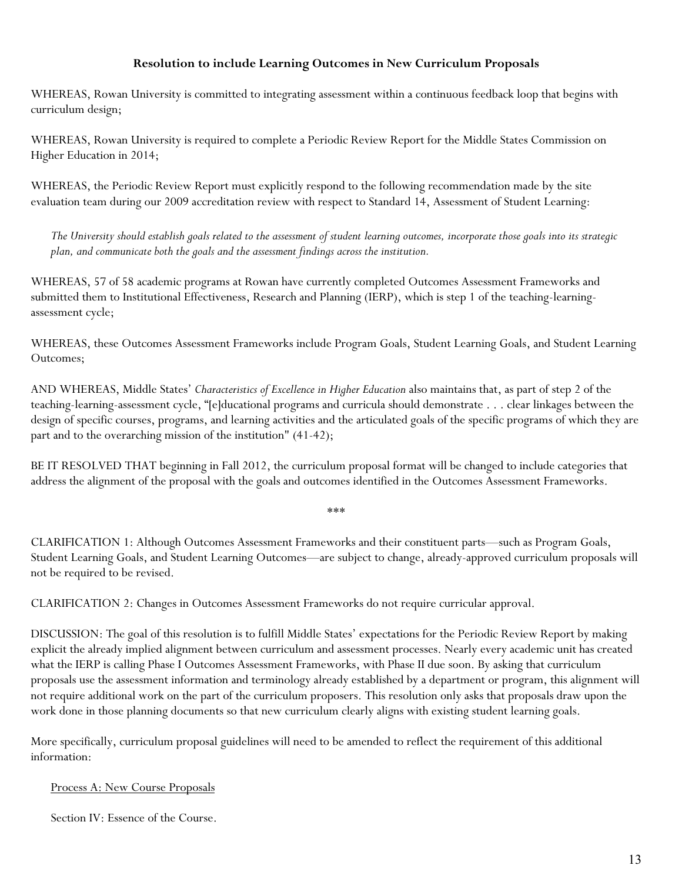## **Resolution to include Learning Outcomes in New Curriculum Proposals**

WHEREAS, Rowan University is committed to integrating assessment within a continuous feedback loop that begins with curriculum design;

WHEREAS, Rowan University is required to complete a Periodic Review Report for the Middle States Commission on Higher Education in 2014;

WHEREAS, the Periodic Review Report must explicitly respond to the following recommendation made by the site evaluation team during our 2009 accreditation review with respect to Standard 14, Assessment of Student Learning:

*The University should establish goals related to the assessment of student learning outcomes, incorporate those goals into its strategic plan, and communicate both the goals and the assessment findings across the institution.*

WHEREAS, 57 of 58 academic programs at Rowan have currently completed Outcomes Assessment Frameworks and submitted them to Institutional Effectiveness, Research and Planning (IERP), which is step 1 of the teaching-learningassessment cycle;

WHEREAS, these Outcomes Assessment Frameworks include Program Goals, Student Learning Goals, and Student Learning Outcomes;

AND WHEREAS, Middle States' *Characteristics of Excellence in Higher Education* also maintains that, as part of step 2 of the teaching-learning-assessment cycle, "[e]ducational programs and curricula should demonstrate . . . clear linkages between the design of specific courses, programs, and learning activities and the articulated goals of the specific programs of which they are part and to the overarching mission of the institution" (41-42);

BE IT RESOLVED THAT beginning in Fall 2012, the curriculum proposal format will be changed to include categories that address the alignment of the proposal with the goals and outcomes identified in the Outcomes Assessment Frameworks.

\*\*\*

CLARIFICATION 1: Although Outcomes Assessment Frameworks and their constituent parts—such as Program Goals, Student Learning Goals, and Student Learning Outcomes—are subject to change, already-approved curriculum proposals will not be required to be revised.

CLARIFICATION 2: Changes in Outcomes Assessment Frameworks do not require curricular approval.

DISCUSSION: The goal of this resolution is to fulfill Middle States' expectations for the Periodic Review Report by making explicit the already implied alignment between curriculum and assessment processes. Nearly every academic unit has created what the IERP is calling Phase I Outcomes Assessment Frameworks, with Phase II due soon. By asking that curriculum proposals use the assessment information and terminology already established by a department or program, this alignment will not require additional work on the part of the curriculum proposers. This resolution only asks that proposals draw upon the work done in those planning documents so that new curriculum clearly aligns with existing student learning goals.

More specifically, curriculum proposal guidelines will need to be amended to reflect the requirement of this additional information:

### Process A: New Course Proposals

Section IV: Essence of the Course.